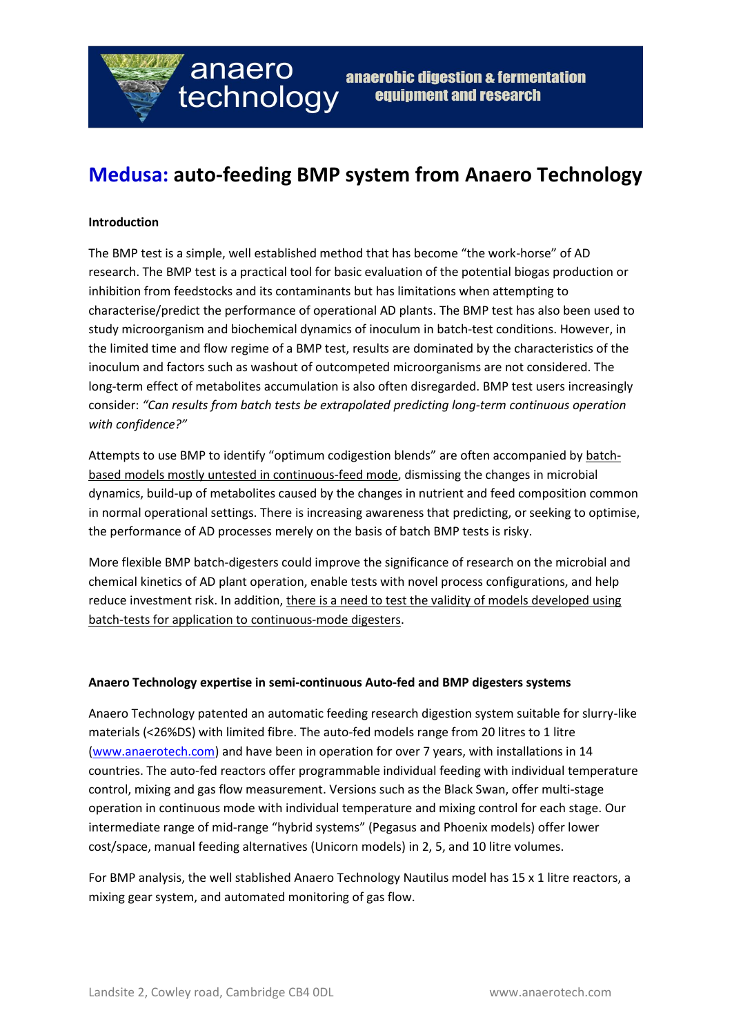

## **Medusa: auto-feeding BMP system from Anaero Technology**

### **Introduction**

The BMP test is a simple, well established method that has become "the work-horse" of AD research. The BMP test is a practical tool for basic evaluation of the potential biogas production or inhibition from feedstocks and its contaminants but has limitations when attempting to characterise/predict the performance of operational AD plants. The BMP test has also been used to study microorganism and biochemical dynamics of inoculum in batch-test conditions. However, in the limited time and flow regime of a BMP test, results are dominated by the characteristics of the inoculum and factors such as washout of outcompeted microorganisms are not considered. The long-term effect of metabolites accumulation is also often disregarded. BMP test users increasingly consider: *"Can results from batch tests be extrapolated predicting long-term continuous operation with confidence?"*

Attempts to use BMP to identify "optimum codigestion blends" are often accompanied by batchbased models mostly untested in continuous-feed mode, dismissing the changes in microbial dynamics, build-up of metabolites caused by the changes in nutrient and feed composition common in normal operational settings. There is increasing awareness that predicting, or seeking to optimise, the performance of AD processes merely on the basis of batch BMP tests is risky.

More flexible BMP batch-digesters could improve the significance of research on the microbial and chemical kinetics of AD plant operation, enable tests with novel process configurations, and help reduce investment risk. In addition, there is a need to test the validity of models developed using batch-tests for application to continuous-mode digesters.

### **Anaero Technology expertise in semi-continuous Auto-fed and BMP digesters systems**

Anaero Technology patented an automatic feeding research digestion system suitable for slurry-like materials (<26%DS) with limited fibre. The auto-fed models range from 20 litres to 1 litre [\(www.anaerotech.com\)](http://www.anaerotech.com/) and have been in operation for over 7 years, with installations in 14 countries. The auto-fed reactors offer programmable individual feeding with individual temperature control, mixing and gas flow measurement. Versions such as the Black Swan, offer multi-stage operation in continuous mode with individual temperature and mixing control for each stage. Our intermediate range of mid-range "hybrid systems" (Pegasus and Phoenix models) offer lower cost/space, manual feeding alternatives (Unicorn models) in 2, 5, and 10 litre volumes.

For BMP analysis, the well stablished Anaero Technology Nautilus model has 15 x 1 litre reactors, a mixing gear system, and automated monitoring of gas flow.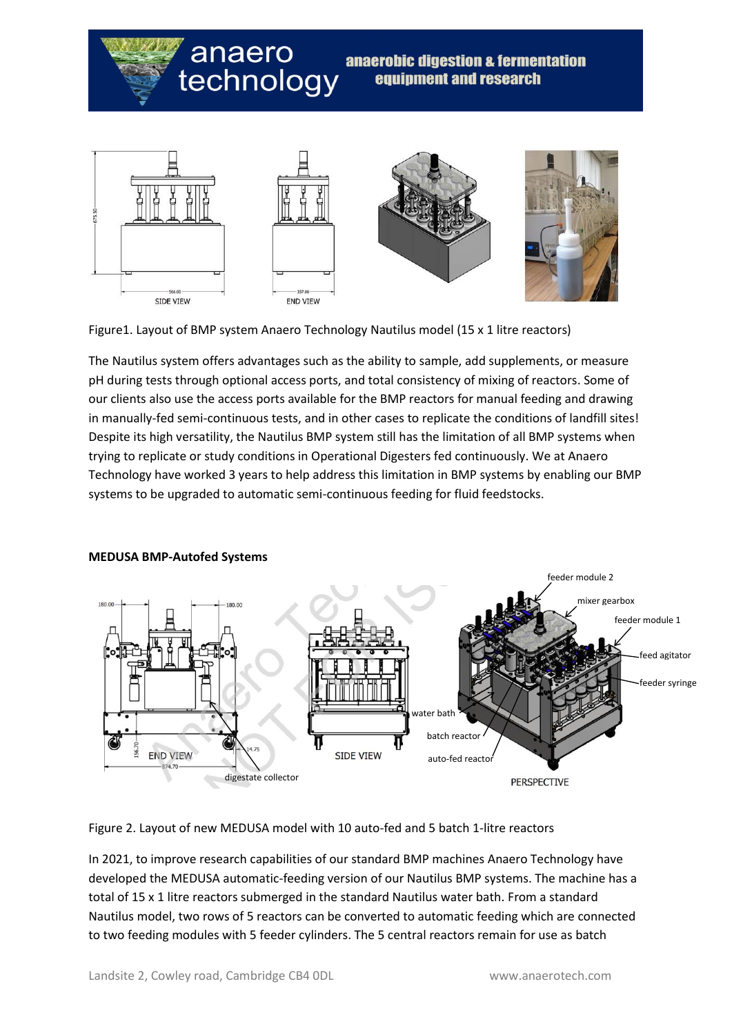# anaero technology

### anaerobic digestion & fermentation equipment and research



Figure1. Layout of BMP system Anaero Technology Nautilus model (15 x 1 litre reactors)

The Nautilus system offers advantages such as the ability to sample, add supplements, or measure pH during tests through optional access ports, and total consistency of mixing of reactors. Some of our clients also use the access ports available for the BMP reactors for manual feeding and drawing in manually-fed semi-continuous tests, and in other cases to replicate the conditions of landfill sites! Despite its high versatility, the Nautilus BMP system still has the limitation of all BMP systems when trying to replicate or study conditions in Operational Digesters fed continuously. We at Anaero Technology have worked 3 years to help address this limitation in BMP systems by enabling our BMP systems to be upgraded to automatic semi-continuous feeding for fluid feedstocks.



### **MEDUSA BMP-Autofed Systems**

Figure 2. Layout of new MEDUSA model with 10 auto-fed and 5 batch 1-litre reactors

In 2021, to improve research capabilities of our standard BMP machines Anaero Technology have developed the MEDUSA automatic-feeding version of our Nautilus BMP systems. The machine has a total of 15 x 1 litre reactors submerged in the standard Nautilus water bath. From a standard Nautilus model, two rows of 5 reactors can be converted to automatic feeding which are connected to two feeding modules with 5 feeder cylinders. The 5 central reactors remain for use as batch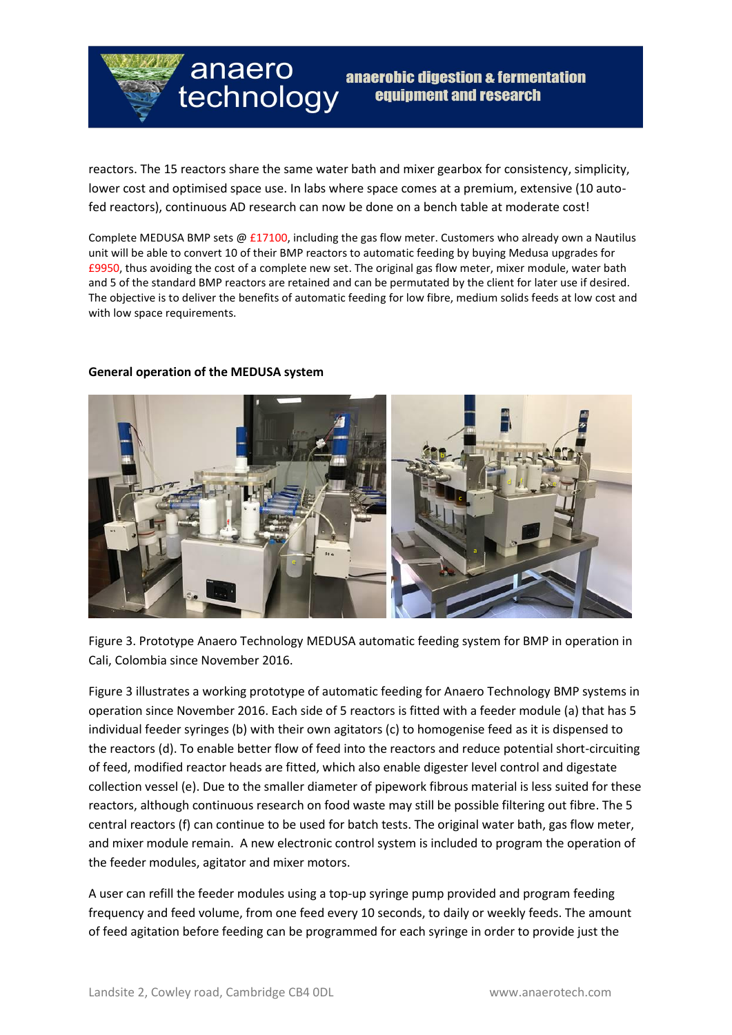

reactors. The 15 reactors share the same water bath and mixer gearbox for consistency, simplicity, lower cost and optimised space use. In labs where space comes at a premium, extensive (10 autofed reactors), continuous AD research can now be done on a bench table at moderate cost!

Complete MEDUSA BMP sets  $\omega$  £17100, including the gas flow meter. Customers who already own a Nautilus unit will be able to convert 10 of their BMP reactors to automatic feeding by buying Medusa upgrades for £9950, thus avoiding the cost of a complete new set. The original gas flow meter, mixer module, water bath and 5 of the standard BMP reactors are retained and can be permutated by the client for later use if desired. The objective is to deliver the benefits of automatic feeding for low fibre, medium solids feeds at low cost and with low space requirements.

### **General operation of the MEDUSA system**



Figure 3. Prototype Anaero Technology MEDUSA automatic feeding system for BMP in operation in Cali, Colombia since November 2016.

Figure 3 illustrates a working prototype of automatic feeding for Anaero Technology BMP systems in operation since November 2016. Each side of 5 reactors is fitted with a feeder module (a) that has 5 individual feeder syringes (b) with their own agitators (c) to homogenise feed as it is dispensed to the reactors (d). To enable better flow of feed into the reactors and reduce potential short-circuiting of feed, modified reactor heads are fitted, which also enable digester level control and digestate collection vessel (e). Due to the smaller diameter of pipework fibrous material is less suited for these reactors, although continuous research on food waste may still be possible filtering out fibre. The 5 central reactors (f) can continue to be used for batch tests. The original water bath, gas flow meter, and mixer module remain. A new electronic control system is included to program the operation of the feeder modules, agitator and mixer motors.

A user can refill the feeder modules using a top-up syringe pump provided and program feeding frequency and feed volume, from one feed every 10 seconds, to daily or weekly feeds. The amount of feed agitation before feeding can be programmed for each syringe in order to provide just the